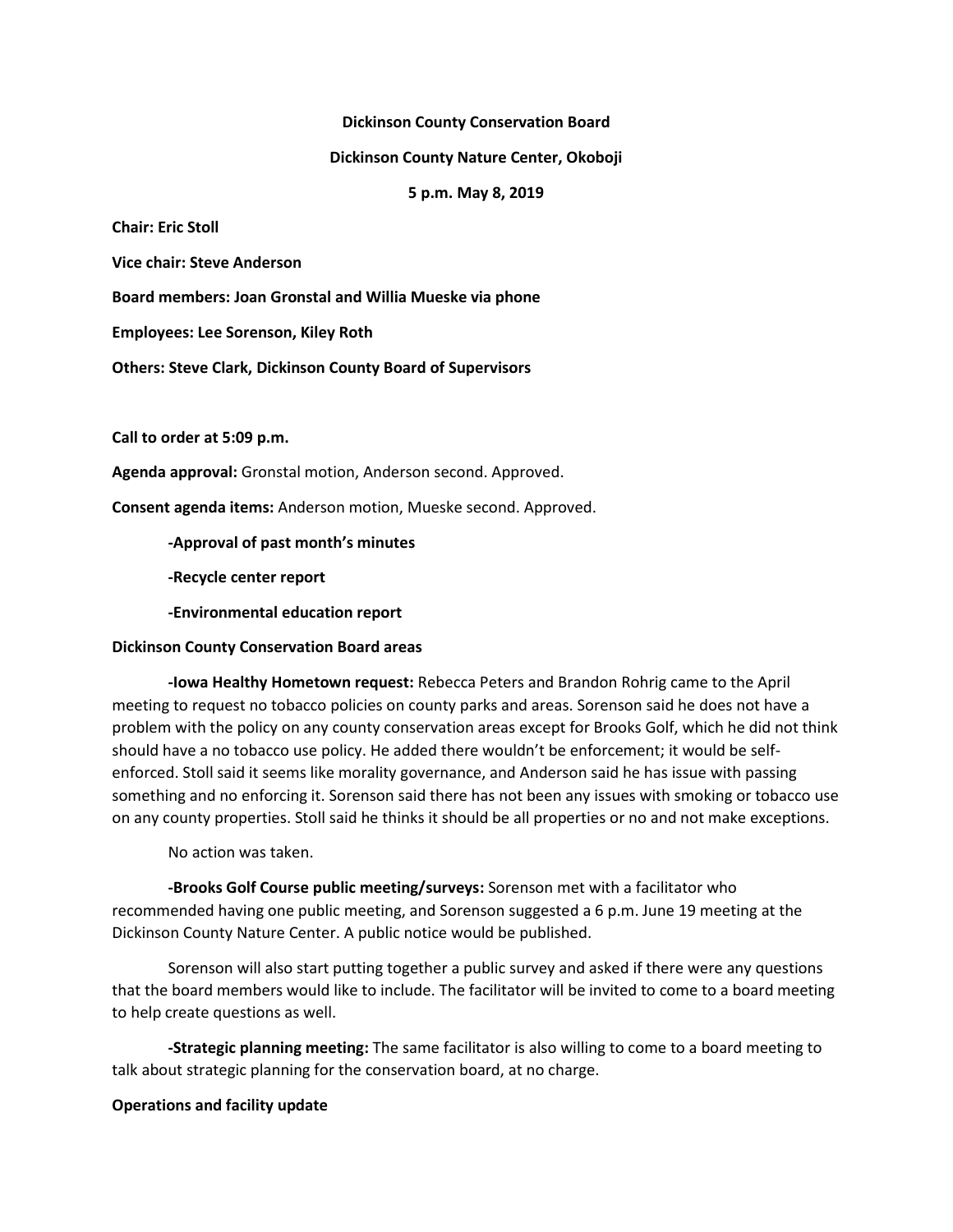### **Dickinson County Conservation Board**

### **Dickinson County Nature Center, Okoboji**

### **5 p.m. May 8, 2019**

**Chair: Eric Stoll**

**Vice chair: Steve Anderson**

**Board members: Joan Gronstal and Willia Mueske via phone**

**Employees: Lee Sorenson, Kiley Roth**

**Others: Steve Clark, Dickinson County Board of Supervisors**

**Call to order at 5:09 p.m.**

**Agenda approval:** Gronstal motion, Anderson second. Approved.

**Consent agenda items:** Anderson motion, Mueske second. Approved.

**-Approval of past month's minutes**

**-Recycle center report**

**-Environmental education report**

# **Dickinson County Conservation Board areas**

**-Iowa Healthy Hometown request:** Rebecca Peters and Brandon Rohrig came to the April meeting to request no tobacco policies on county parks and areas. Sorenson said he does not have a problem with the policy on any county conservation areas except for Brooks Golf, which he did not think should have a no tobacco use policy. He added there wouldn't be enforcement; it would be selfenforced. Stoll said it seems like morality governance, and Anderson said he has issue with passing something and no enforcing it. Sorenson said there has not been any issues with smoking or tobacco use on any county properties. Stoll said he thinks it should be all properties or no and not make exceptions.

No action was taken.

**-Brooks Golf Course public meeting/surveys:** Sorenson met with a facilitator who recommended having one public meeting, and Sorenson suggested a 6 p.m. June 19 meeting at the Dickinson County Nature Center. A public notice would be published.

Sorenson will also start putting together a public survey and asked if there were any questions that the board members would like to include. The facilitator will be invited to come to a board meeting to help create questions as well.

**-Strategic planning meeting:** The same facilitator is also willing to come to a board meeting to talk about strategic planning for the conservation board, at no charge.

# **Operations and facility update**